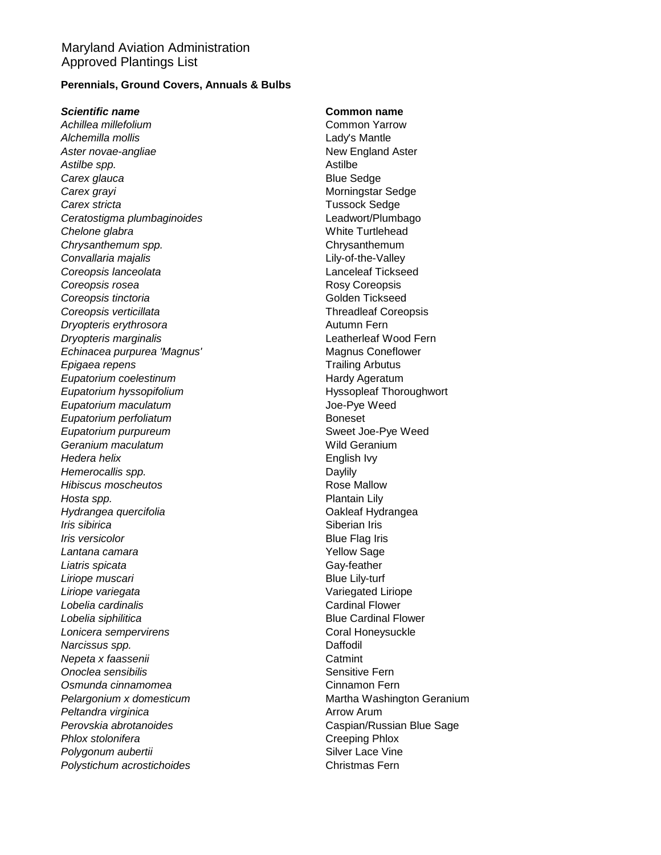## Maryland Aviation Administration Approved Plantings List

### **Perennials, Ground Covers, Annuals & Bulbs**

#### *Scientific name* **Common name**

Achillea millefolium **Common Yarrow** Common Yarrow *Alchemilla mollis* Lady's Mantle Aster novae-angliae **New England Aster** New England Aster *Astilbe spp.* Astilbe **Carex glauca Blue Sedge Carex grayi** Carex grayi **Carex stricta** Carex Sedge Carex Sedge Carex Sedge Carex Sedge Carex Sedge Carex Sedge *Ceratostigma plumbaginoides* Leadwort/Plumbago **Chelone glabra Chelone** glabra **Media and Schelone White Turtlehead** *Chrysanthemum spp.* Chrysanthemum *Convallaria majalis* Lily-of-the-Valley *Coreopsis lanceolata* Lanceleaf Tickseed **Coreopsis rosea Rosy Coreopsis Coreopsis tinctoria** Coreopsis tinctoria *Coreopsis verticillata* Threadleaf Coreopsis **Dryopteris erythrosora** Autumn Fern *Dryopteris marginalis* Leatherleaf Wood Fern *Echinacea purpurea 'Magnus'* Magnus Coneflower *Epigaea repens* Trailing Arbutus **Eupatorium coelestinum** example and the Hardy Ageratum **Eupatorium hyssopifolium** extending the Hyssopleaf Thoroughwort *Eupatorium maculatum* Joe-Pye Weed **Eupatorium perfoliatum** extensive proportion of the Boneset **Eupatorium purpureum** Sweet Joe-Pye Weed **Geranium maculatum Mild Geranium** *Hedera helix* English Ivy *Hemerocallis spp.* **Daylily Daylily** *Hibiscus moscheutos* **Rose Mallow** *Hosta spp.* Plantain Lily *Hydrangea quercifolia* Oakleaf Hydrangea *Iris sibirica* Siberian Iris **Siberian Iris** *Iris versicolor* **Blue Flag Iris** Lantana camara **Xantana Camara** Xantana Camara Xantana Amerika Nellow Sage **Liatris spicata** Gay-feather *Liriope muscari* Blue Lily-turf *Liriope variegata* Variegated Liriope Lobelia cardinalis **Cardinal Flower** Cardinal Flower *Lobelia siphilitica* Blue Cardinal Flower **Lonicera sempervirens** Coral Honeysuckle *Narcissus spp.* Daffodil **Nepeta x faassenii** Catmint **Onoclea sensibilis Sensitive Fern** Sensitive Fern **Osmunda cinnamomea** Cinnamon Fern **Pelargonium x domesticum** Martha Washington Geranium **Peltandra virginica** Arrow Arum *Perovskia abrotanoides* Caspian/Russian Blue Sage **Phlox stolonifera** Creeping Phlox **Polygonum aubertii** Chronic Chronic Chronic Chronic Chronic Chronic Chronic Chronic Chronic Chronic Chronic Chronic Chronic Chronic Chronic Chronic Chronic Chronic Chronic Chronic Chronic Chronic Chronic Chronic Chronic C Polystichum acrostichoides **Christmas Fern**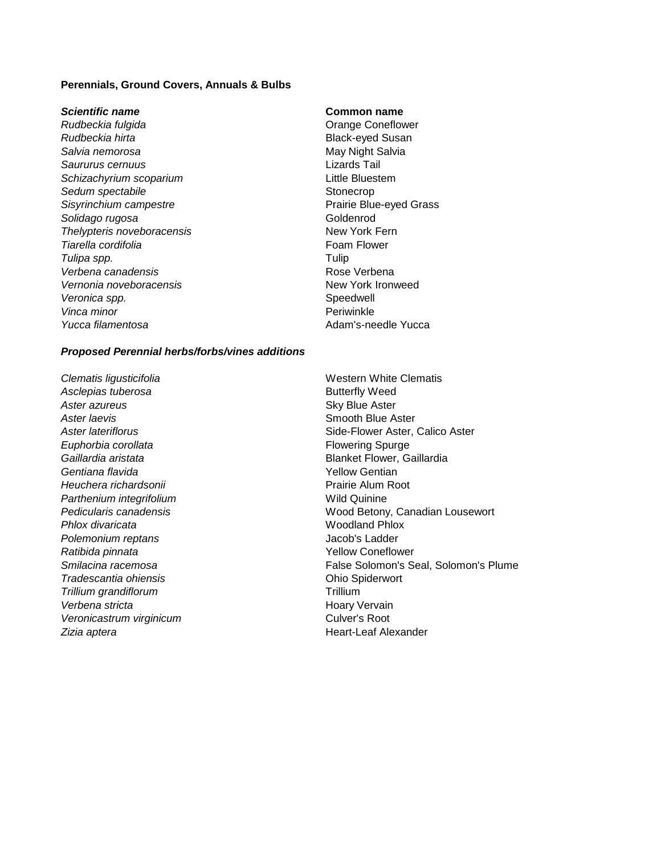#### **Perennials, Ground Covers, Annuals & Bulbs**

#### *Scientific name* **Common name**

**Rudbeckia fulgida Coneflower Coneflower Orange Coneflower Rudbeckia hirta Black-eyed Susan Salvia nemorosa** May Night Salvia *Saururus cernuus* Lizards Tail *Schizachyrium scoparium* Little Bluestem **Sedum spectabile** Stonecrop **Sisyrinchium campestre Prairie Blue-eyed Grass** Solidago rugosa **Goldenrod Thelypteris noveboracensis** New York Fern **Tiarella cordifolia Foam Flower** *Tulipa spp.* Tulip *Verbena canadensis* and the *Verbena* Rose Verbena Vernonia noveboracensis<br>
New York Ironweed Veronica spp. **Speedwell Vinca minor** Periwinkle *Yucca filamentosa* Adam's-needle Yucca

#### *Proposed Perennial herbs/forbs/vines additions*

Asclepias tuberosa **Butterfly Weed Aster azureus Aster Sky Blue Aster Aster laevis Aster Laevis Contract Aster Laevis Smooth Blue Aster Smooth Blue Aster Euphorbia corollata Flowering Spurge Flowering Spurge** *Gaillardia aristata* Blanket Flower, Gaillardia *Gentiana flavida* Yellow Gentian *Heuchera richardsonii* Prairie Alum Root **Parthenium integrifolium**  Wild Quinine *Phlox divaricata* Woodland Phlox *Polemonium reptans* Jacob's Ladder *Ratibida pinnata* Yellow Coneflower *Tradescantia ohiensis* Ohio Spiderwort **Trillium grandiflorum** Trillium Verbena stricta **Mateuralista Experience and America** Hoary Vervain Veronicastrum virginicum<br>
Veronicastrum virginicum *Zizia aptera* **Heart-Leaf Alexander** 

**Clematis ligusticifolia** Mexicon Clematis **Mexican Clematis** Western White Clematis **Aster lateriflorus Aster Integrals Side-Flower Aster, Calico Aster** *Pedicularis canadensis* Wood Betony, Canadian Lousewort *Smilacina racemosa* False Solomon's Seal, Solomon's Plume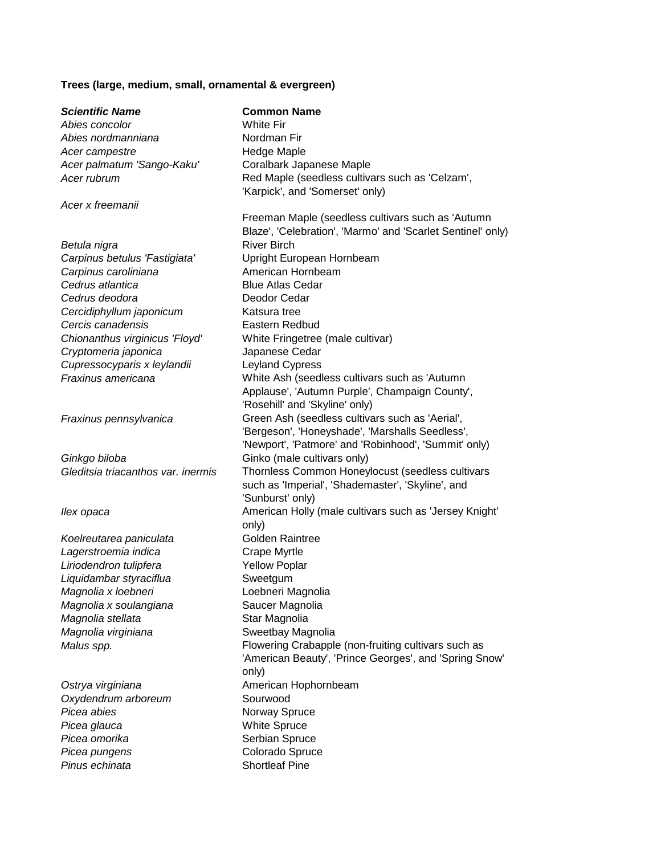# **Trees (large, medium, small, ornamental & evergreen)**

| <b>Scientific Name</b>                              | <b>Common Name</b>                                                                                               |
|-----------------------------------------------------|------------------------------------------------------------------------------------------------------------------|
| Abies concolor                                      | <b>White Fir</b>                                                                                                 |
| Abies nordmanniana                                  | Nordman Fir                                                                                                      |
| Acer campestre                                      | Hedge Maple                                                                                                      |
| Acer palmatum 'Sango-Kaku'                          | Coralbark Japanese Maple                                                                                         |
| Acer rubrum                                         | Red Maple (seedless cultivars such as 'Celzam',<br>'Karpick', and 'Somerset' only)                               |
| Acer x freemanii                                    |                                                                                                                  |
|                                                     | Freeman Maple (seedless cultivars such as 'Autumn<br>Blaze', 'Celebration', 'Marmo' and 'Scarlet Sentinel' only) |
| Betula nigra                                        | <b>River Birch</b>                                                                                               |
| Carpinus betulus 'Fastigiata'                       | Upright European Hornbeam                                                                                        |
| Carpinus caroliniana                                | American Hornbeam                                                                                                |
| Cedrus atlantica                                    | <b>Blue Atlas Cedar</b>                                                                                          |
| Cedrus deodora                                      | Deodor Cedar                                                                                                     |
| Cercidiphyllum japonicum                            | Katsura tree                                                                                                     |
| Cercis canadensis                                   | Eastern Redbud                                                                                                   |
| Chionanthus virginicus 'Floyd'                      | White Fringetree (male cultivar)<br>Japanese Cedar                                                               |
| Cryptomeria japonica<br>Cupressocyparis x leylandii | <b>Leyland Cypress</b>                                                                                           |
| Fraxinus americana                                  | White Ash (seedless cultivars such as 'Autumn                                                                    |
|                                                     | Applause', 'Autumn Purple', Champaign County',                                                                   |
|                                                     | 'Rosehill' and 'Skyline' only)                                                                                   |
| Fraxinus pennsylvanica                              | Green Ash (seedless cultivars such as 'Aerial',                                                                  |
|                                                     | 'Bergeson', 'Honeyshade', 'Marshalls Seedless',                                                                  |
|                                                     | 'Newport', 'Patmore' and 'Robinhood', 'Summit' only)                                                             |
| Ginkgo biloba                                       | Ginko (male cultivars only)                                                                                      |
| Gleditsia triacanthos var. inermis                  | Thornless Common Honeylocust (seedless cultivars                                                                 |
|                                                     | such as 'Imperial', 'Shademaster', 'Skyline', and                                                                |
|                                                     | 'Sunburst' only)                                                                                                 |
| llex opaca                                          | American Holly (male cultivars such as 'Jersey Knight'                                                           |
|                                                     | only)                                                                                                            |
| Koelreutarea paniculata                             | <b>Golden Raintree</b>                                                                                           |
| Lagerstroemia indica                                | Crape Myrtle                                                                                                     |
| Liriodendron tulipfera                              | <b>Yellow Poplar</b>                                                                                             |
| Liquidambar styraciflua                             | Sweetgum                                                                                                         |
| Magnolia x loebneri                                 | Loebneri Magnolia                                                                                                |
| Magnolia x soulangiana<br>Magnolia stellata         | Saucer Magnolia<br>Star Magnolia                                                                                 |
| Magnolia virginiana                                 | Sweetbay Magnolia                                                                                                |
| Malus spp.                                          | Flowering Crabapple (non-fruiting cultivars such as                                                              |
|                                                     | 'American Beauty', 'Prince Georges', and 'Spring Snow'                                                           |
|                                                     | only)                                                                                                            |
| Ostrya virginiana                                   | American Hophornbeam                                                                                             |
| Oxydendrum arboreum                                 | Sourwood                                                                                                         |
| Picea abies                                         | Norway Spruce                                                                                                    |
| Picea glauca                                        | <b>White Spruce</b>                                                                                              |
| Picea omorika                                       | Serbian Spruce                                                                                                   |
| Picea pungens                                       | Colorado Spruce                                                                                                  |
| Pinus echinata                                      | <b>Shortleaf Pine</b>                                                                                            |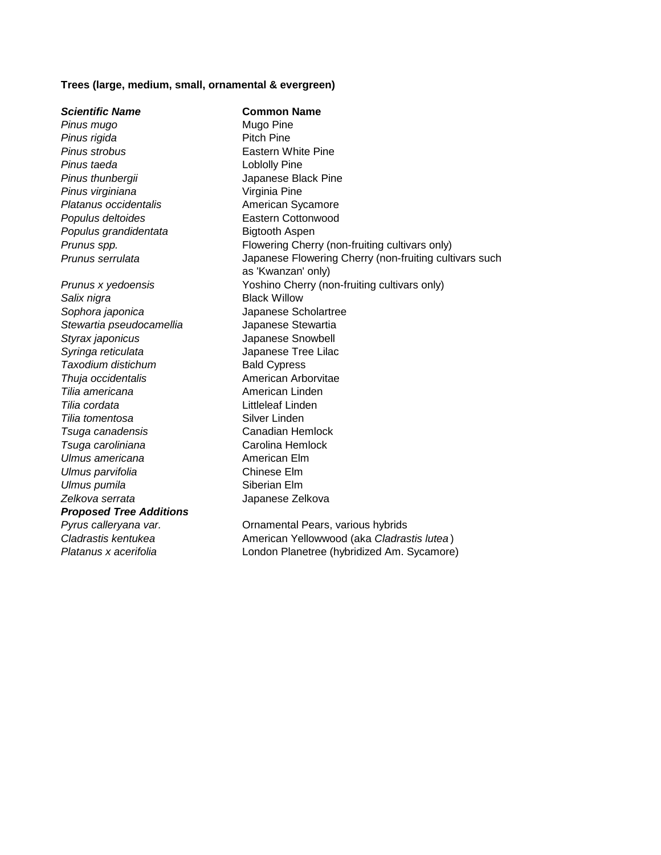#### **Trees (large, medium, small, ornamental & evergreen)**

*Scientific Name* **Common Name Pinus mugo** Mugo Pine **Pinus rigida** Pitch Pine *Pinus strobus* Eastern White Pine *Pinus taeda* Loblolly Pine *Pinus thunbergii* Japanese Black Pine *Pinus virginiana* Virginia Pine **Platanus occidentalis American Sycamore Populus deltoides** Eastern Cottonwood **Populus grandidentata Bigtooth Aspen Prunus spp.** Flowering Cherry (non-fruiting cultivars only) *Prunus serrulata* Japanese Flowering Cherry (non-fruiting cultivars such as 'Kwanzan' only) *Prunus x yedoensis* Yoshino Cherry (non-fruiting cultivars only) **Salix nigra** Black Willow *Sophora japonica* Japanese Scholartree *Stewartia pseudocamellia* Japanese Stewartia *Styrax japonicus* Japanese Snowbell *Syringa reticulata* Japanese Tree Lilac **Taxodium distichum** Bald Cypress *Thuja occidentalis* American Arborvitae **Tilia americana American Linden Tilia cordata** Littleleaf Linden **Tilia tomentosa** Silver Linden *Tsuga canadensis* Canadian Hemlock *Tsuga caroliniana* Carolina Hemlock *Ulmus americana* American Elm *Ulmus parvifolia* Chinese Elm *Ulmus pumila* Siberian Elm *Zelkova serrata* Japanese Zelkova *Proposed Tree Additions Pyrus calleryana var.* Ornamental Pears, various hybrids *Cladrastis kentukea* American Yellowwood (aka *Cladrastis lutea* ) *Platanus x acerifolia* London Planetree (hybridized Am. Sycamore)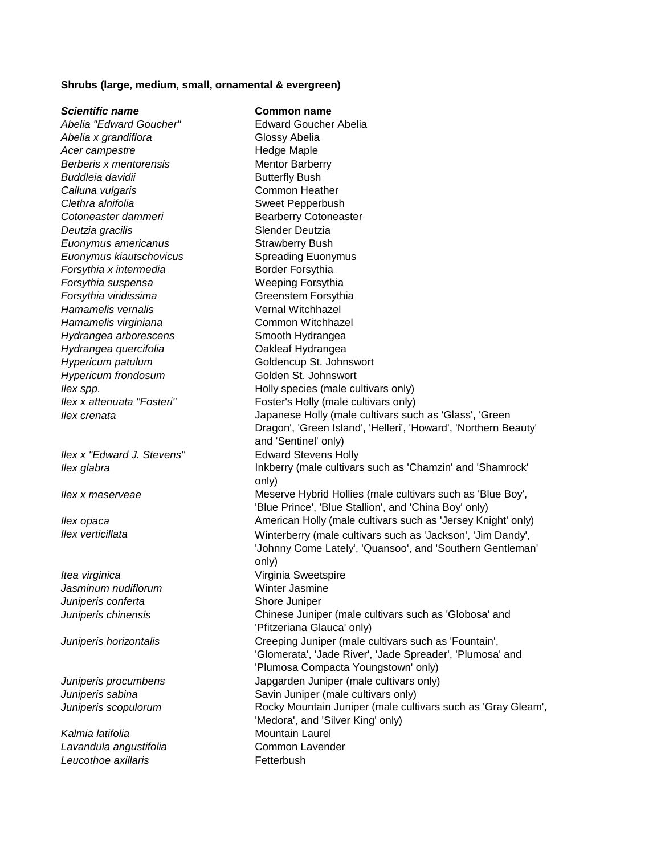#### **Shrubs (large, medium, small, ornamental & evergreen)**

*Scientific name* **Common name** *Abelia "Edward Goucher"* Edward Goucher Abelia Abelia x grandiflora<br>
Glossy Abelia Acer campestre **Acer** Campestre **Acer** Campestre **Berberis x mentorensis** Mentor Barberry **Buddleia davidii Butterfly Bush** *Calluna vulgaris* Common Heather *Clethra alnifolia* Sweet Pepperbush **Cotoneaster dammeri** Bearberry Cotoneaster **Deutzia gracilis Slender Deutzia** *Euonymus americanus* Strawberry Bush *Euonymus kiautschovicus* Spreading Euonymus **Forsythia x intermedia** Border Forsythia *Forsythia suspensa* Weeping Forsythia *Forsythia viridissima* Greenstem Forsythia *Hamamelis vernalis* Vernal Witchhazel *Hamamelis virginiana* Common Witchhazel *Hydrangea arborescens* Smooth Hydrangea *Hydrangea quercifolia* Oakleaf Hydrangea *Hypericum patulum* Goldencup St. Johnswort *Hypericum frondosum* Golden St. Johnswort *Ilex spp.* **Ilex spp. Ilex spp. Ilex spp. III I III III III III III III III III III III III III III III III III III III III III III III III III III III III I** *Ilex x attenuata "Fosteri"* Foster's Holly (male cultivars only) *Ilex crenata* Japanese Holly (male cultivars such as 'Glass', 'Green Dragon', 'Green Island', 'Helleri', 'Howard', 'Northern Beauty' and 'Sentinel' only) *Ilex x "Edward J. Stevens"* Edward Stevens Holly **Ilex glabra** Inkberry (male cultivars such as 'Chamzin' and 'Shamrock' only) *Ilex x meserveae* The Meserve Hybrid Hollies (male cultivars such as 'Blue Boy', 'Blue Prince', 'Blue Stallion', and 'China Boy' only) *Ilex opaca* **American Holly (male cultivars such as 'Jersey Knight' only) American Holly (male cultivars such as 'Jersey Knight' only)** *Ilex verticillata* Winterberry (male cultivars such as 'Jackson', 'Jim Dandy', 'Johnny Come Lately', 'Quansoo', and 'Southern Gentleman' only) *Itea virginica* Virginia Sweetspire Jasminum nudiflorum **Winter Jasmine** *Juniperis conferta* Shore Juniper *Juniperis chinensis* Chinese Juniper (male cultivars such as 'Globosa' and 'Pfitzeriana Glauca' only) *Juniperis horizontalis* Creeping Juniper (male cultivars such as 'Fountain', 'Glomerata', 'Jade River', 'Jade Spreader', 'Plumosa' and 'Plumosa Compacta Youngstown' only) *Juniperis procumbens* Japgarden Juniper (male cultivars only) *Juniperis sabina* Savin Juniper (male cultivars only) *Juniperis scopulorum* Rocky Mountain Juniper (male cultivars such as 'Gray Gleam', 'Medora', and 'Silver King' only) Kalmia latifolia **Musicipality Contain** Mountain Laurel *Lavandula angustifolia* Common Lavender **Leucothoe axillaris Fetterbush**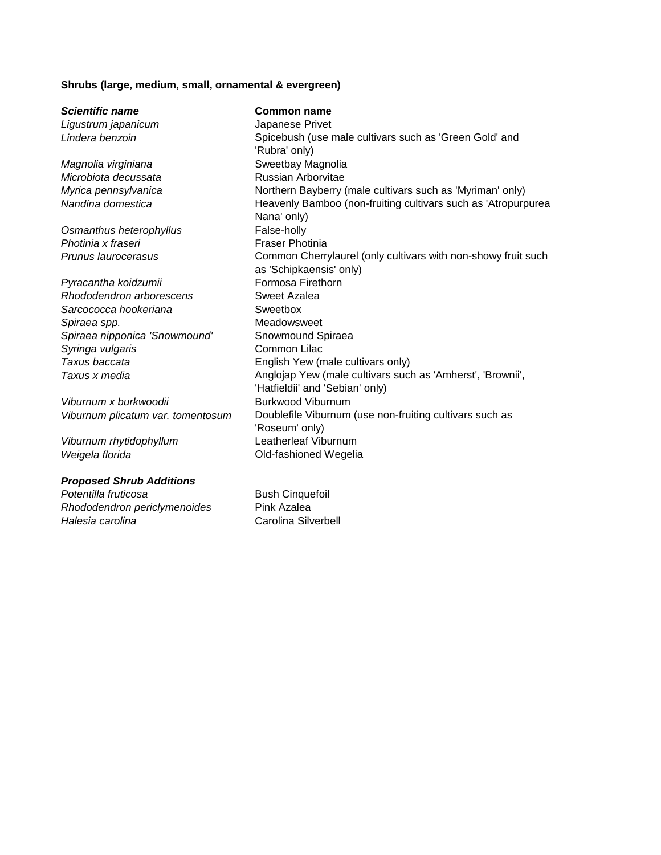## **Shrubs (large, medium, small, ornamental & evergreen)**

| <b>Scientific name</b>            | <b>Common name</b>                                            |  |
|-----------------------------------|---------------------------------------------------------------|--|
| Ligustrum japanicum               | Japanese Privet                                               |  |
| Lindera benzoin                   | Spicebush (use male cultivars such as 'Green Gold' and        |  |
|                                   | 'Rubra' only)                                                 |  |
| Magnolia virginiana               | Sweetbay Magnolia                                             |  |
| Microbiota decussata              | Russian Arborvitae                                            |  |
| Myrica pennsylvanica              | Northern Bayberry (male cultivars such as 'Myriman' only)     |  |
| Nandina domestica                 | Heavenly Bamboo (non-fruiting cultivars such as 'Atropurpurea |  |
|                                   | Nana' only)                                                   |  |
| Osmanthus heterophyllus           | False-holly                                                   |  |
| Photinia x fraseri                | <b>Fraser Photinia</b>                                        |  |
| Prunus laurocerasus               | Common Cherrylaurel (only cultivars with non-showy fruit such |  |
|                                   | as 'Schipkaensis' only)                                       |  |
| Pyracantha koidzumii              | Formosa Firethorn                                             |  |
| Rhododendron arborescens          | Sweet Azalea                                                  |  |
| Sarcococca hookeriana             | Sweetbox                                                      |  |
| Spiraea spp.                      | Meadowsweet                                                   |  |
| Spiraea nipponica 'Snowmound'     | Snowmound Spiraea                                             |  |
| Syringa vulgaris                  | Common Lilac                                                  |  |
| Taxus baccata                     | English Yew (male cultivars only)                             |  |
| Taxus x media                     | Anglojap Yew (male cultivars such as 'Amherst', 'Brownii',    |  |
|                                   | 'Hatfieldii' and 'Sebian' only)                               |  |
| Viburnum x burkwoodii             | <b>Burkwood Viburnum</b>                                      |  |
| Viburnum plicatum var. tomentosum | Doublefile Viburnum (use non-fruiting cultivars such as       |  |
|                                   | 'Roseum' only)                                                |  |
| Viburnum rhytidophyllum           | Leatherleaf Viburnum                                          |  |
| Weigela florida                   | Old-fashioned Wegelia                                         |  |
| <b>Proposed Shrub Additions</b>   |                                                               |  |

*Potentilla fruticosa*<br> *Rhododendron periclymenoides* Pink Azalea *Rhododendron periclymenoides*<br>Halesia carolina

**Carolina Silverbell**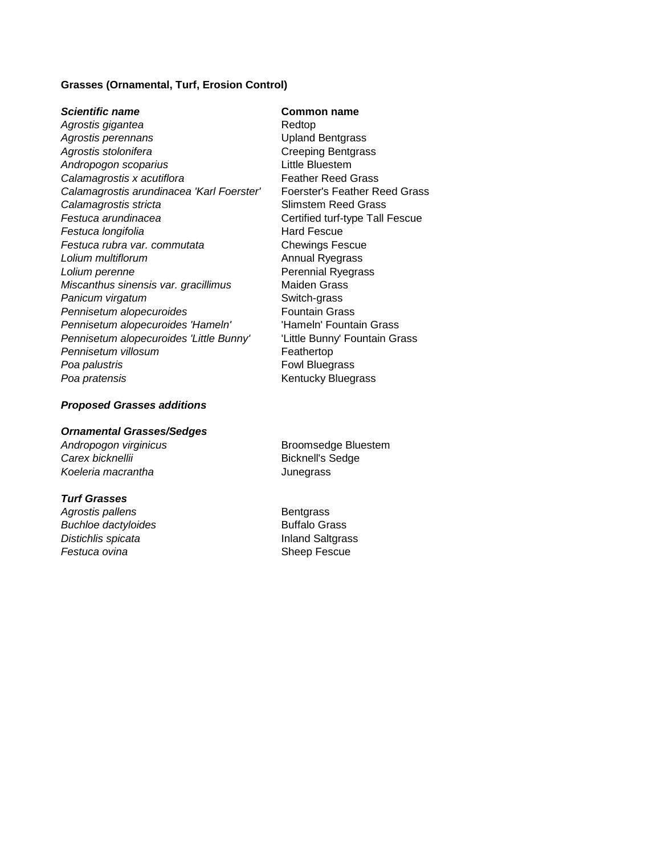### **Grasses (Ornamental, Turf, Erosion Control)**

*Scientific name* **Common name** Agrostis gigantea **Redtop** Redtop *Agrostis perennans* Upland Bentgrass Agrostis stolonifera **Creeping Bentgrass** *Andropogon scoparius* Little Bluestem **Calamagrostis x acutiflora** Feather Reed Grass *Calamagrostis arundinacea 'Karl Foerster'* Foerster's Feather Reed Grass **Calamagrostis stricta** Slimstem Reed Grass **Festuca arundinacea Certified turf-type Tall Fescue Festuca longifolia Hard Fescue** *Festuca rubra var. commutata* Chewings Fescue **Lolium multiflorum Annual Ryegrass Lolium perenne Collection Collection Perennial Ryegrass** *Miscanthus sinensis var. gracillimus* Maiden Grass **Panicum virgatum** Switch-grass **Pennisetum alopecuroides** Fountain Grass *Pennisetum alopecuroides 'Hameln'* 'Hameln' Fountain Grass *Pennisetum alopecuroides 'Little Bunny'* 'Little Bunny' Fountain Grass **Pennisetum villosum** extending the **Feathertop Poa palustris Foul Bluegrass Poa pratensis Comparent Comparent Comparent Comparent Comparent Comparent Comparent Comparent Comparent Comparent Comparent Comparent Comparent Comparent Comparent Comparent Comparent Comparent Comparent Comparent Compa** 

#### *Proposed Grasses additions*

#### *Ornamental Grasses/Sedges*

**Carex bicknellii Bicknell's Sedge** *Koeleria macrantha* Junegrass

#### *Turf Grasses*

Agrostis pallens and a second part of the Bentgrass **Buchloe dactyloides Buffalo Grass Distichlis spicata Inland Saltgrass Festuca ovina Sheep Fescue** 

Andropogon virginicus **Broomsedge Bluestem**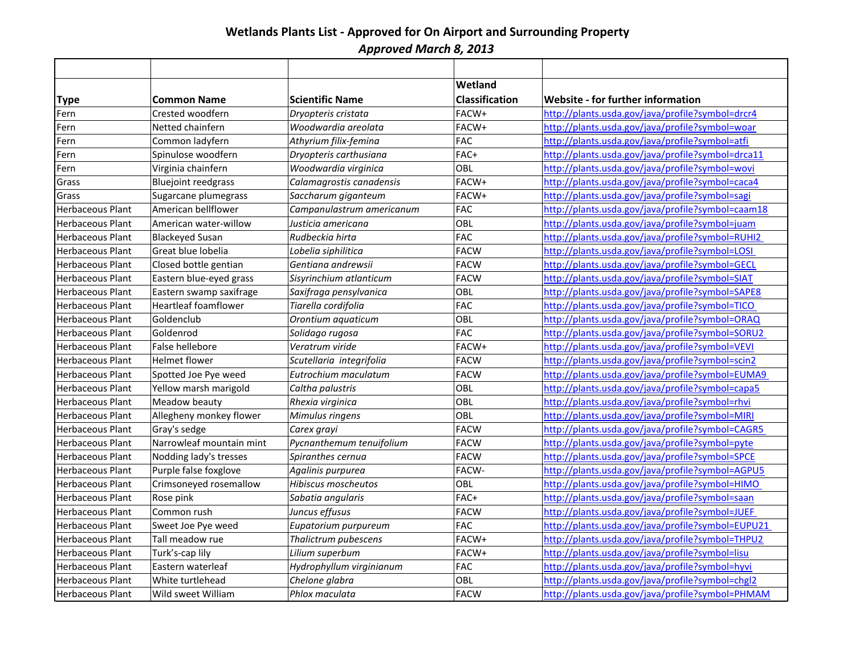# **Wetlands Plants List - Approved for On Airport and Surrounding Property** *Approved March 8, 2013*

|                         |                             |                           | Wetland               |                                                   |
|-------------------------|-----------------------------|---------------------------|-----------------------|---------------------------------------------------|
| <b>Type</b>             | <b>Common Name</b>          | <b>Scientific Name</b>    | <b>Classification</b> | <b>Website - for further information</b>          |
| Fern                    | Crested woodfern            | Dryopteris cristata       | FACW+                 | http://plants.usda.gov/java/profile?symbol=drcr4  |
| Fern                    | Netted chainfern            | Woodwardia areolata       | FACW+                 | http://plants.usda.gov/java/profile?symbol=woar   |
| Fern                    | Common ladyfern             | Athyrium filix-femina     | <b>FAC</b>            | http://plants.usda.gov/java/profile?symbol=atfi   |
| Fern                    | Spinulose woodfern          | Dryopteris carthusiana    | FAC+                  | http://plants.usda.gov/java/profile?symbol=drca11 |
| Fern                    | Virginia chainfern          | Woodwardia virginica      | OBL                   | http://plants.usda.gov/java/profile?symbol=wovi   |
| Grass                   | <b>Bluejoint reedgrass</b>  | Calamagrostis canadensis  | FACW+                 | http://plants.usda.gov/java/profile?symbol=caca4  |
| Grass                   | Sugarcane plumegrass        | Saccharum giganteum       | FACW+                 | http://plants.usda.gov/java/profile?symbol=sagi   |
| Herbaceous Plant        | American bellflower         | Campanulastrum americanum | <b>FAC</b>            | http://plants.usda.gov/java/profile?symbol=caam18 |
| <b>Herbaceous Plant</b> | American water-willow       | Justicia americana        | OBL                   | http://plants.usda.gov/java/profile?symbol=juam   |
| <b>Herbaceous Plant</b> | <b>Blackeyed Susan</b>      | Rudbeckia hirta           | <b>FAC</b>            | http://plants.usda.gov/java/profile?symbol=RUHI2  |
| <b>Herbaceous Plant</b> | Great blue lobelia          | Lobelia siphilitica       | <b>FACW</b>           | http://plants.usda.gov/java/profile?symbol=LOSI   |
| <b>Herbaceous Plant</b> | Closed bottle gentian       | Gentiana andrewsii        | <b>FACW</b>           | http://plants.usda.gov/java/profile?symbol=GECL   |
| <b>Herbaceous Plant</b> | Eastern blue-eyed grass     | Sisyrinchium atlanticum   | <b>FACW</b>           | http://plants.usda.gov/java/profile?symbol=SIAT   |
| Herbaceous Plant        | Eastern swamp saxifrage     | Saxifraga pensylvanica    | OBL                   | http://plants.usda.gov/java/profile?symbol=SAPE8  |
| <b>Herbaceous Plant</b> | <b>Heartleaf foamflower</b> | Tiarella cordifolia       | <b>FAC</b>            | http://plants.usda.gov/java/profile?symbol=TICO   |
| Herbaceous Plant        | Goldenclub                  | Orontium aquaticum        | OBL                   | http://plants.usda.gov/java/profile?symbol=ORAQ   |
| <b>Herbaceous Plant</b> | Goldenrod                   | Solidago rugosa           | <b>FAC</b>            | http://plants.usda.gov/java/profile?symbol=SORU2  |
| <b>Herbaceous Plant</b> | False hellebore             | Veratrum viride           | FACW+                 | http://plants.usda.gov/java/profile?symbol=VEVI   |
| Herbaceous Plant        | <b>Helmet flower</b>        | Scutellaria integrifolia  | <b>FACW</b>           | http://plants.usda.gov/java/profile?symbol=scin2  |
| <b>Herbaceous Plant</b> | Spotted Joe Pye weed        | Eutrochium maculatum      | <b>FACW</b>           | http://plants.usda.gov/java/profile?symbol=EUMA9  |
| Herbaceous Plant        | Yellow marsh marigold       | Caltha palustris          | OBL                   | http://plants.usda.gov/java/profile?symbol=capa5  |
| Herbaceous Plant        | Meadow beauty               | Rhexia virginica          | OBL                   | http://plants.usda.gov/java/profile?symbol=rhvi   |
| <b>Herbaceous Plant</b> | Allegheny monkey flower     | Mimulus ringens           | OBL                   | http://plants.usda.gov/java/profile?symbol=MIRI   |
| Herbaceous Plant        | Gray's sedge                | Carex grayi               | <b>FACW</b>           | http://plants.usda.gov/java/profile?symbol=CAGR5  |
| Herbaceous Plant        | Narrowleaf mountain mint    | Pycnanthemum tenuifolium  | <b>FACW</b>           | http://plants.usda.gov/java/profile?symbol=pyte   |
| Herbaceous Plant        | Nodding lady's tresses      | Spiranthes cernua         | <b>FACW</b>           | http://plants.usda.gov/java/profile?symbol=SPCE   |
| Herbaceous Plant        | Purple false foxglove       | Agalinis purpurea         | FACW-                 | http://plants.usda.gov/java/profile?symbol=AGPU5  |
| Herbaceous Plant        | Crimsoneyed rosemallow      | Hibiscus moscheutos       | OBL                   | http://plants.usda.gov/java/profile?symbol=HIMO   |
| <b>Herbaceous Plant</b> | Rose pink                   | Sabatia angularis         | FAC+                  | http://plants.usda.gov/java/profile?symbol=saan   |
| Herbaceous Plant        | Common rush                 | Juncus effusus            | <b>FACW</b>           | http://plants.usda.gov/java/profile?symbol=JUEF   |
| Herbaceous Plant        | Sweet Joe Pye weed          | Eupatorium purpureum      | <b>FAC</b>            | http://plants.usda.gov/java/profile?symbol=EUPU21 |
| Herbaceous Plant        | Tall meadow rue             | Thalictrum pubescens      | FACW+                 | http://plants.usda.gov/java/profile?symbol=THPU2  |
| Herbaceous Plant        | Turk's-cap lily             | Lilium superbum           | FACW+                 | http://plants.usda.gov/java/profile?symbol=lisu   |
| Herbaceous Plant        | Eastern waterleaf           | Hydrophyllum virginianum  | <b>FAC</b>            | http://plants.usda.gov/java/profile?symbol=hyvi   |
| Herbaceous Plant        | White turtlehead            | Chelone glabra            | OBL                   | http://plants.usda.gov/java/profile?symbol=chgl2  |
| Herbaceous Plant        | Wild sweet William          | Phlox maculata            | <b>FACW</b>           | http://plants.usda.gov/java/profile?symbol=PHMAM  |